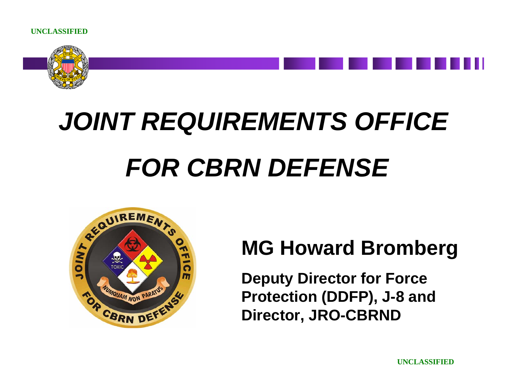

# *JOINT REQUIREMENTS OFFICE FOR CBRN DEFENSE*



## **MG Howard Bromberg**

**Deputy Director for Force Protection (DDFP), J-8 and Director, JRO-CBRND**

**UNCLASSIFIED**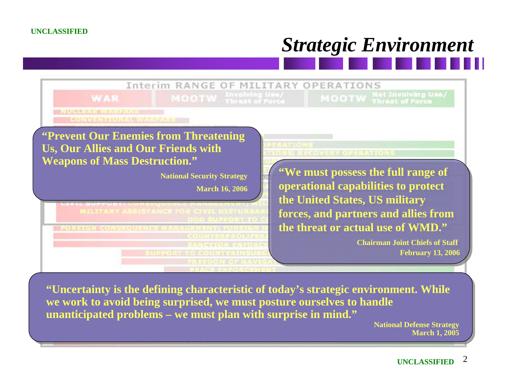# *Strategic Environment*



**"Uncertainty is the defining characteristic of today's strategic environment. While we work to avoid being surprised, we must posture ourselves to handle unanticipated problems – we must plan with surprise in mind."**

> **National Defense Strategy March 1, 2005**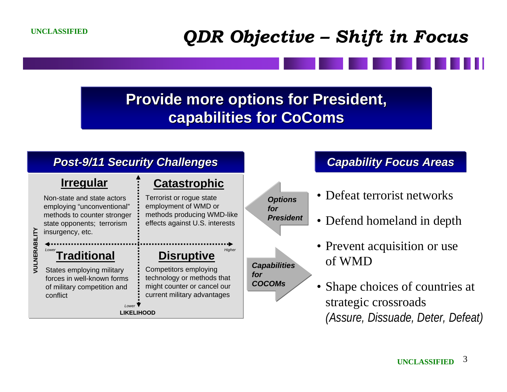### *QDR Objective – Shift in Focus*

#### **Provide more options for President, capabilities for CoComs capabilities for CoComs**

#### *Post-9/11 Security Challenges 9/11 Security Challenges* . **Traditional Disruptive Catastrophic LIKELIHOOD**<u>L</u><br> **VULNER-**<br> *VUNER*<br> *VUNER*<br> *VUNER-MINORERABILIONAL<br>
<br>
States employing military<br>
<br>
<br>
<br>
<br>
<br>
<br>
Competitors employing<br>
<br>
Competitors employing Lower*Non-state and state actors employing "unconventional" methods to counter stronger state opponents; terrorism insurgency, etc. **Irregular** Terrorist or rogue state employment of WMD or methods producing WMD-like effects against U.S. interests States employing military forces in well-known forms of military competition and conflictCompetitors employing technology or methods that might counter or cancel our current military advantages • Defeat terrorist networks • Defend homeland in depth • Prevent acquisition or use of WMD• Shape choices of countries at strategic crossroads *(Assure, Dissuade, Deter, Defeat) Capabilities for COCOMsCapability Focus Areas Capability Focus Areas Options for President*

#### **UNCLASSIFIED** <sup>3</sup>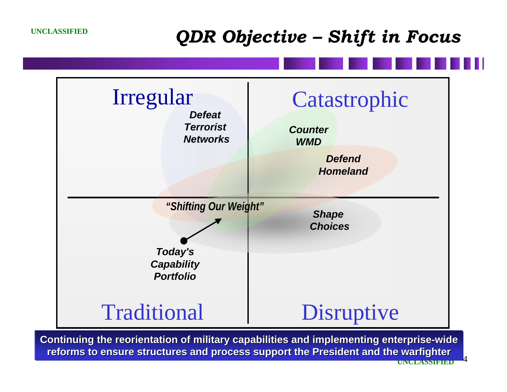#### *QDR Objective – Shift in Focus*



**UNCLASSIFIED**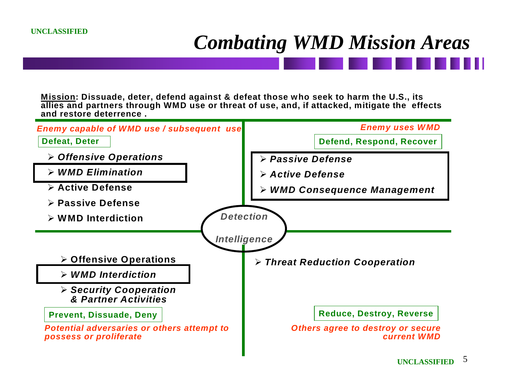# *Combating WMD Mission Areas*

**Mission: Dissuade, deter, defend against & defeat those who seek to harm the U.S., its allies and partners through WMD use or threat of use, and, if attacked, mitigate the effects and restore deterrence .**

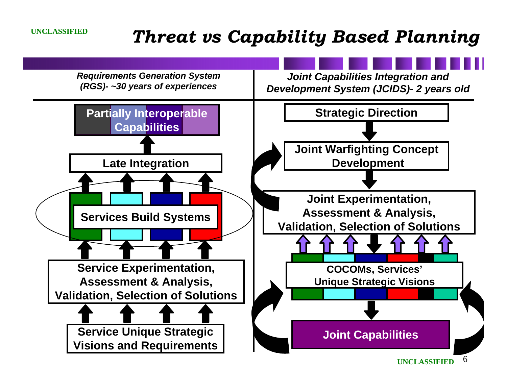### *Threat vs Capability Based Planning*

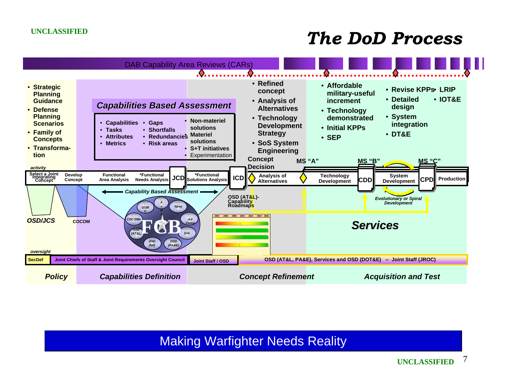#### *The DoD Process*



Making Warfighter Needs Reality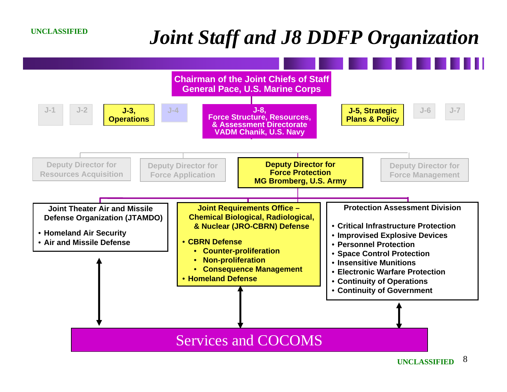# *Joint Staff and J8 DDFP Organization*

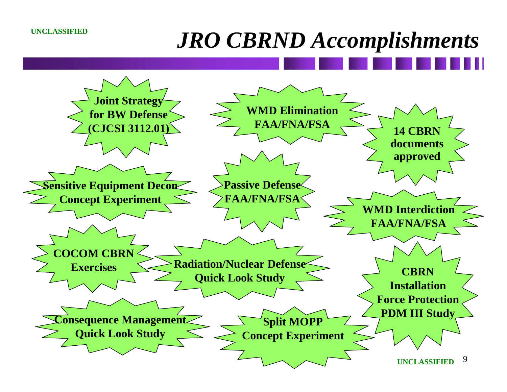# *JRO CBRND Accomplishments*

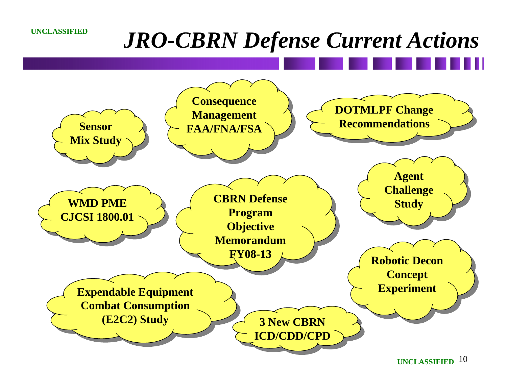# *JRO-CBRN Defense Current Actions*

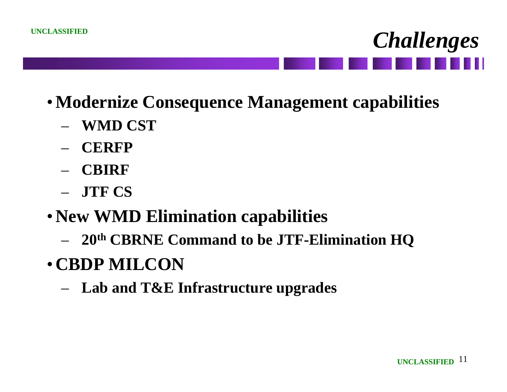- •**Modernize Consequence Management capabilities**
	- **WMD CST**
	- **CERFP**
	- **CBIRF**
	- **JTF CS**
- •**New WMD Elimination capabilities**
	- **20th CBRNE Command to be JTF-Elimination HQ**
- •**CBDP MILCON**
	- **Lab and T&E Infrastructure upgrades**

*Challenges*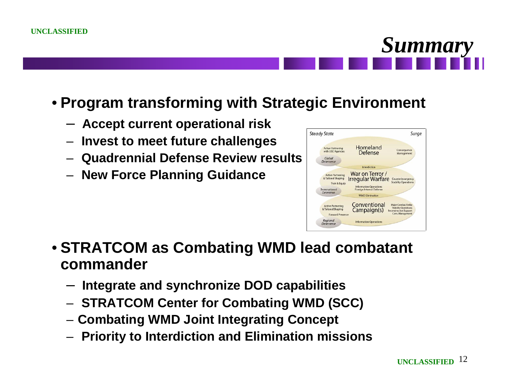#### • **Program transforming with Strategic Environment**

- **Accept current operational risk**
- **Invest to meet future challenges**
- **Quadrennial Defense Review results**
- **New Force Planning Guidance**



#### • **STRATCOM as Combating WMD lead combatant commander**

- **Integrate and synchronize DOD capabilities**
- **STRATCOM Center for Combating WMD (SCC)**
- **Combating WMD Joint Integrating Concept**
- **Priority to Interdiction and Elimination missions**

*Summary*